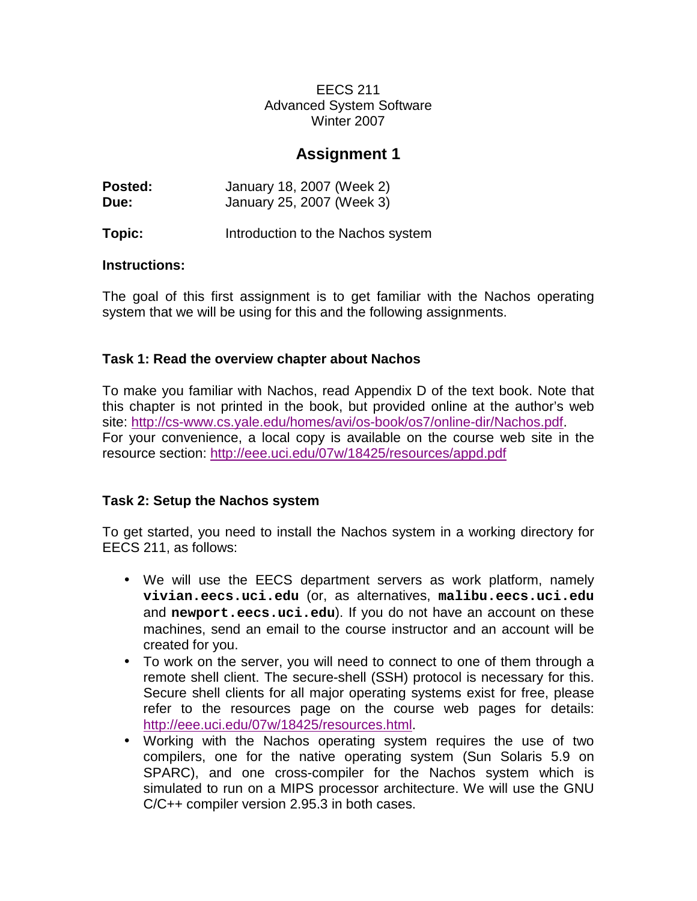EECS 211 Advanced System Software Winter 2007

# **Assignment 1**

| Posted: | January 18, 2007 (Week 2) |
|---------|---------------------------|
| Due:    | January 25, 2007 (Week 3) |

**Topic:** Introduction to the Nachos system

### **Instructions:**

The goal of this first assignment is to get familiar with the Nachos operating system that we will be using for this and the following assignments.

# **Task 1: Read the overview chapter about Nachos**

To make you familiar with Nachos, read Appendix D of the text book. Note that this chapter is not printed in the book, but provided online at the author's web site: http://cs-www.cs.yale.edu/homes/avi/os-book/os7/online-dir/Nachos.pdf. For your convenience, a local copy is available on the course web site in the resource section: http://eee.uci.edu/07w/18425/resources/appd.pdf

# **Task 2: Setup the Nachos system**

To get started, you need to install the Nachos system in a working directory for EECS 211, as follows:

- We will use the EECS department servers as work platform, namely **vivian.eecs.uci.edu** (or, as alternatives, **malibu.eecs.uci.edu** and **newport.eecs.uci.edu**). If you do not have an account on these machines, send an email to the course instructor and an account will be created for you.
- To work on the server, you will need to connect to one of them through a remote shell client. The secure-shell (SSH) protocol is necessary for this. Secure shell clients for all major operating systems exist for free, please refer to the resources page on the course web pages for details: http://eee.uci.edu/07w/18425/resources.html.
- Working with the Nachos operating system requires the use of two compilers, one for the native operating system (Sun Solaris 5.9 on SPARC), and one cross-compiler for the Nachos system which is simulated to run on a MIPS processor architecture. We will use the GNU C/C++ compiler version 2.95.3 in both cases.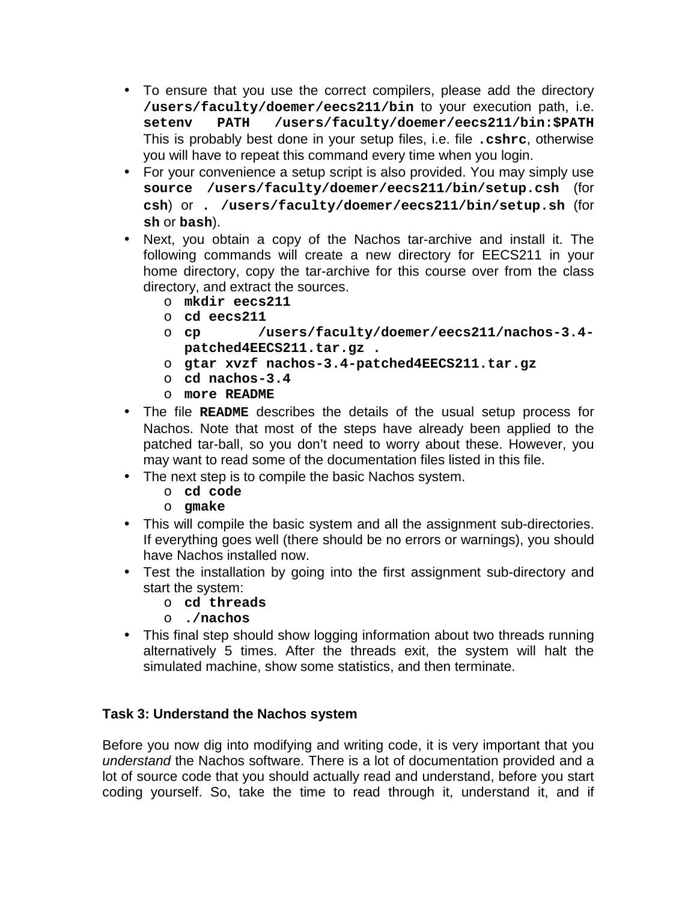- To ensure that you use the correct compilers, please add the directory **/users/faculty/doemer/eecs211/bin** to your execution path, i.e. **setenv PATH /users/faculty/doemer/eecs211/bin:\$PATH** This is probably best done in your setup files, i.e. file **.cshrc**, otherwise you will have to repeat this command every time when you login.
- For your convenience a setup script is also provided. You may simply use **source /users/faculty/doemer/eecs211/bin/setup.csh** (for **csh**) or **. /users/faculty/doemer/eecs211/bin/setup.sh** (for **sh** or **bash**).
- Next, you obtain a copy of the Nachos tar-archive and install it. The following commands will create a new directory for EECS211 in your home directory, copy the tar-archive for this course over from the class directory, and extract the sources.
	- o **mkdir eecs211**
	- o **cd eecs211**
	- o **cp /users/faculty/doemer/eecs211/nachos-3.4 patched4EECS211.tar.gz .**
	- o **gtar xvzf nachos-3.4-patched4EECS211.tar.gz**
	- o **cd nachos-3.4**
	- o **more README**
- The file **README** describes the details of the usual setup process for Nachos. Note that most of the steps have already been applied to the patched tar-ball, so you don't need to worry about these. However, you may want to read some of the documentation files listed in this file.
- The next step is to compile the basic Nachos system.
	- o **cd code**
	- o **gmake**
- This will compile the basic system and all the assignment sub-directories. If everything goes well (there should be no errors or warnings), you should have Nachos installed now.
- Test the installation by going into the first assignment sub-directory and start the system:
	- o **cd threads**
	- o **./nachos**
- This final step should show logging information about two threads running alternatively 5 times. After the threads exit, the system will halt the simulated machine, show some statistics, and then terminate.

# **Task 3: Understand the Nachos system**

Before you now dig into modifying and writing code, it is very important that you understand the Nachos software. There is a lot of documentation provided and a lot of source code that you should actually read and understand, before you start coding yourself. So, take the time to read through it, understand it, and if